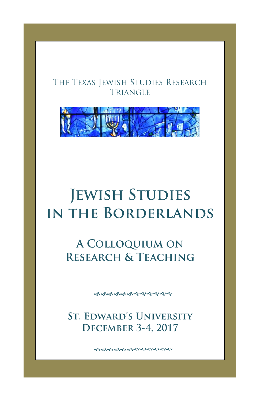## THE TEXAS JEWISH STUDIES RESEARCH **TRIANGLE**



# **JEWISH STUDIES** IN THE BORDERLANDS

A COLLOQUIUM ON **RESEARCH & TEACHING** 

ଈଈଈଈୡୡଈଈଈୖ*ଈ* 

**ST. EDWARD'S UNIVERSITY DECEMBER 3-4, 2017** 

ଈଈଈଈଈୡଢ଼ଈଈଈ**୰**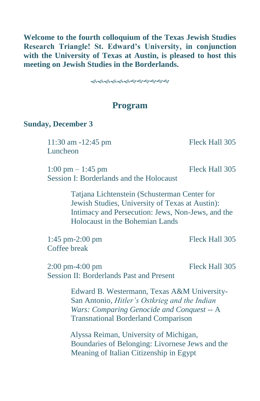**Welcome to the fourth colloquium of the Texas Jewish Studies Research Triangle! St. Edward's University, in conjunction with the University of Texas at Austin, is pleased to host this meeting on Jewish Studies in the Borderlands.** 

ଈଈଈଈୡୡ**୰**ଈଈଈଈ

### **Program**

#### **Sunday, December 3**

11:30 am -12:45 pm Fleck Hall 305 Luncheon

1:00 pm – 1:45 pm Fleck Hall 305 Session I: Borderlands and the Holocaust

Tatjana Lichtenstein (Schusterman Center for Jewish Studies, University of Texas at Austin): Intimacy and Persecution: Jews, Non-Jews, and the Holocaust in the Bohemian Lands

1:45 pm-2:00 pm Fleck Hall 305 Coffee break

2:00 pm-4:00 pm Fleck Hall 305 Session II: Borderlands Past and Present

Edward B. Westermann, Texas A&M University-San Antonio, *Hitler's Ostkrieg and the Indian Wars: Comparing Genocide and Conquest* -- A Transnational Borderland Comparison

 Alyssa Reiman, University of Michigan, Boundaries of Belonging: Livornese Jews and the Meaning of Italian Citizenship in Egypt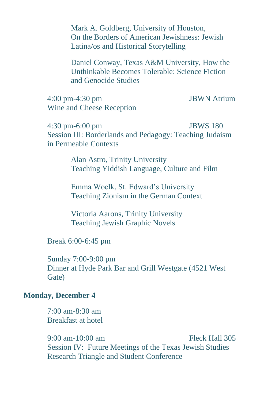Mark A. Goldberg, University of Houston, On the Borders of American Jewishness: Jewish Latina/os and Historical Storytelling

Daniel Conway, Texas A&M University, How the Unthinkable Becomes Tolerable: Science Fiction and Genocide Studies

4:00 pm-4:30 pm JBWN Atrium Wine and Cheese Reception

4:30 pm-6:00 pm JBWS 180 Session III: Borderlands and Pedagogy: Teaching Judaism in Permeable Contexts

> Alan Astro, Trinity University Teaching Yiddish Language, Culture and Film

Emma Woelk, St. Edward's University Teaching Zionism in the German Context

Victoria Aarons, Trinity University Teaching Jewish Graphic Novels

Break 6:00-6:45 pm

Sunday 7:00-9:00 pm Dinner at Hyde Park Bar and Grill Westgate (4521 West Gate)

#### **Monday, December 4**

7:00 am-8:30 am Breakfast at hotel

9:00 am-10:00 am Fleck Hall 305 Session IV: Future Meetings of the Texas Jewish Studies Research Triangle and Student Conference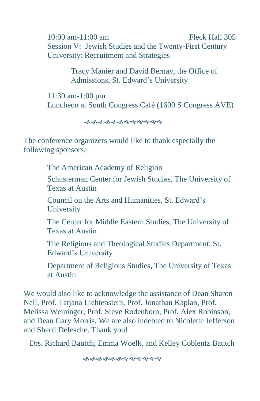10:00 am-11:00 am Fleck Hall 305 Session V: Jewish Studies and the Twenty-First Century University: Recruitment and Strategies

> Tracy Manier and David Bernay, the Office of Admissions, St. Edward's University

11:30 am-1:00 pm Luncheon at South Congress Café (1600 S Congress AVE)

ക്കക്കക്കുകയയയയയ

The conference organizers would like to thank especially the following sponsors:

The American Academy of Religion

Schusterman Center for Jewish Studies, The University of Texas at Austin

Council on the Arts and Humanities, St. Edward's **University** 

The Center for Middle Eastern Studies, The University of Texas at Austin

The Religious and Theological Studies Department, St. Edward's University

Department of Religious Studies, The University of Texas at Austin

We would also like to acknowledge the assistance of Dean Sharon Nell, Prof. Tatjana Lichtenstein, Prof. Jonathan Kaplan, Prof. Melissa Weininger, Prof. Steve Rodenborn, Prof. Alex Robinson, and Dean Gary Morris. We are also indebted to Nicolette Jefferson and Sherri Defesche. Thank you!

Drs. Richard Bautch, Emma Woelk, and Kelley Coblentz Bautch